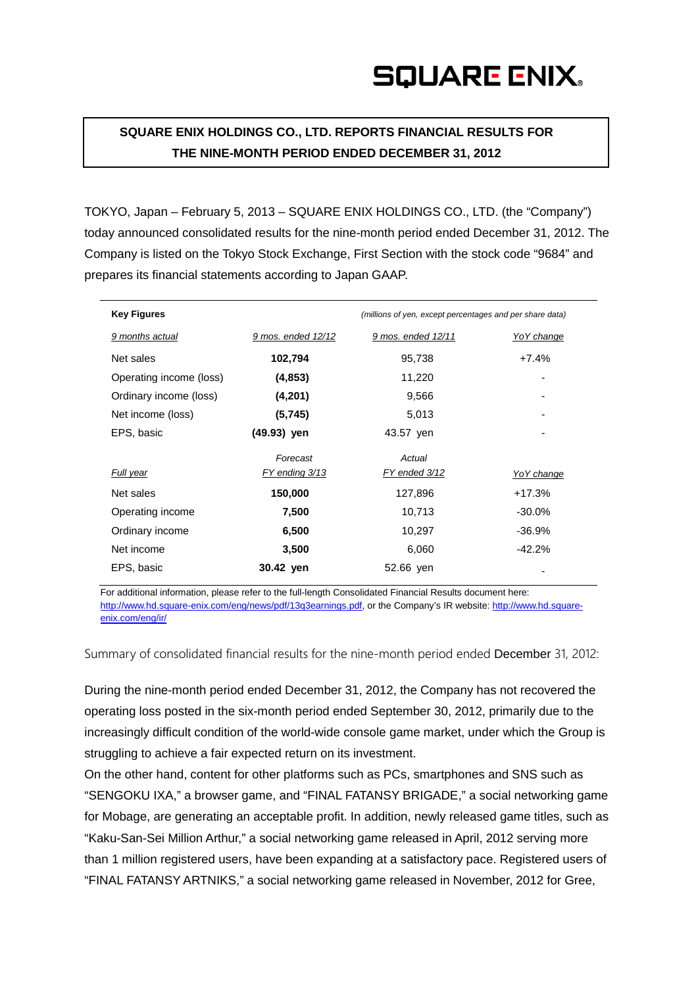**SQUARE ENIX HOLDINGS CO., LTD. REPORTS FINANCIAL RESULTS FOR THE NINE-MONTH PERIOD ENDED DECEMBER 31, 2012**

TOKYO, Japan – February 5, 2013 – SQUARE ENIX HOLDINGS CO., LTD. (the "Company") today announced consolidated results for the nine-month period ended December 31, 2012. The Company is listed on the Tokyo Stock Exchange, First Section with the stock code "9684" and prepares its financial statements according to Japan GAAP.

| <b>Key Figures</b>      |                    | (millions of yen, except percentages and per share data) |            |
|-------------------------|--------------------|----------------------------------------------------------|------------|
| 9 months actual         | 9 mos. ended 12/12 | 9 mos. ended 12/11                                       | YoY change |
| Net sales               | 102,794            | 95,738                                                   | $+7.4%$    |
| Operating income (loss) | (4, 853)           | 11,220                                                   | ۰          |
| Ordinary income (loss)  | (4,201)            | 9,566                                                    |            |
| Net income (loss)       | (5,745)            | 5,013                                                    | ۰          |
| EPS, basic              | (49.93) yen        | 43.57 yen                                                |            |
|                         | Forecast           | Actual                                                   |            |
| Full year               | FY ending 3/13     | FY ended 3/12                                            | YoY change |
| Net sales               | 150,000            | 127,896                                                  | $+17.3%$   |
| Operating income        | 7,500              | 10,713                                                   | $-30.0\%$  |
| Ordinary income         | 6,500              | 10,297                                                   | $-36.9%$   |
| Net income              | 3,500              | 6,060                                                    | $-42.2%$   |
| EPS, basic              | 30.42 yen          | 52.66 yen                                                |            |

For additional information, please refer to the full-length Consolidated Financial Results document here: http://www.hd.square-enix.com/eng/news/pdf/13q3earnings.pdf, or the Company's IR website: [http://www.hd.square](http://www.hd.square-enix.com/eng/ir/)[enix.com/eng/ir/](http://www.hd.square-enix.com/eng/ir/)

Summary of consolidated financial results for the nine-month period ended December 31, 2012:

During the nine-month period ended December 31, 2012, the Company has not recovered the operating loss posted in the six-month period ended September 30, 2012, primarily due to the increasingly difficult condition of the world-wide console game market, under which the Group is struggling to achieve a fair expected return on its investment.

On the other hand, content for other platforms such as PCs, smartphones and SNS such as "SENGOKU IXA," a browser game, and "FINAL FATANSY BRIGADE," a social networking game for Mobage, are generating an acceptable profit. In addition, newly released game titles, such as "Kaku-San-Sei Million Arthur," a social networking game released in April, 2012 serving more than 1 million registered users, have been expanding at a satisfactory pace. Registered users of "FINAL FATANSY ARTNIKS," a social networking game released in November, 2012 for Gree,